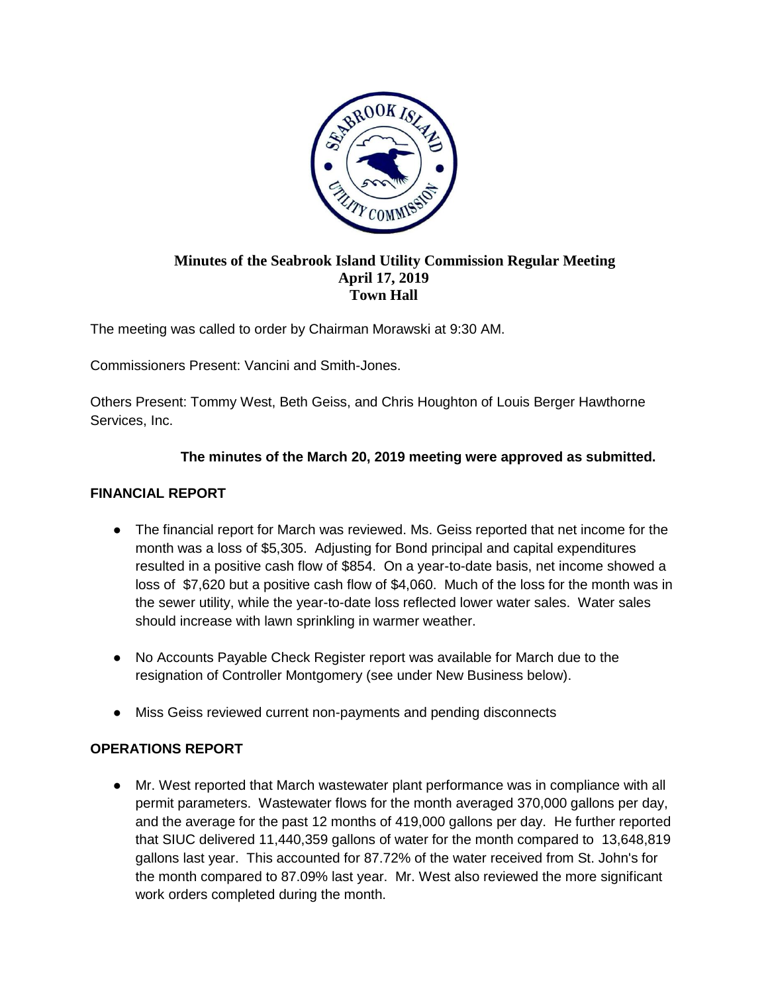

#### **Minutes of the Seabrook Island Utility Commission Regular Meeting April 17, 2019 Town Hall**

The meeting was called to order by Chairman Morawski at 9:30 AM.

Commissioners Present: Vancini and Smith-Jones.

Others Present: Tommy West, Beth Geiss, and Chris Houghton of Louis Berger Hawthorne Services, Inc.

### **The minutes of the March 20, 2019 meeting were approved as submitted.**

## **FINANCIAL REPORT**

- The financial report for March was reviewed. Ms. Geiss reported that net income for the month was a loss of \$5,305. Adjusting for Bond principal and capital expenditures resulted in a positive cash flow of \$854. On a year-to-date basis, net income showed a loss of \$7,620 but a positive cash flow of \$4,060. Much of the loss for the month was in the sewer utility, while the year-to-date loss reflected lower water sales. Water sales should increase with lawn sprinkling in warmer weather.
- No Accounts Payable Check Register report was available for March due to the resignation of Controller Montgomery (see under New Business below).
- Miss Geiss reviewed current non-payments and pending disconnects

# **OPERATIONS REPORT**

● Mr. West reported that March wastewater plant performance was in compliance with all permit parameters. Wastewater flows for the month averaged 370,000 gallons per day, and the average for the past 12 months of 419,000 gallons per day. He further reported that SIUC delivered 11,440,359 gallons of water for the month compared to 13,648,819 gallons last year. This accounted for 87.72% of the water received from St. John's for the month compared to 87.09% last year. Mr. West also reviewed the more significant work orders completed during the month.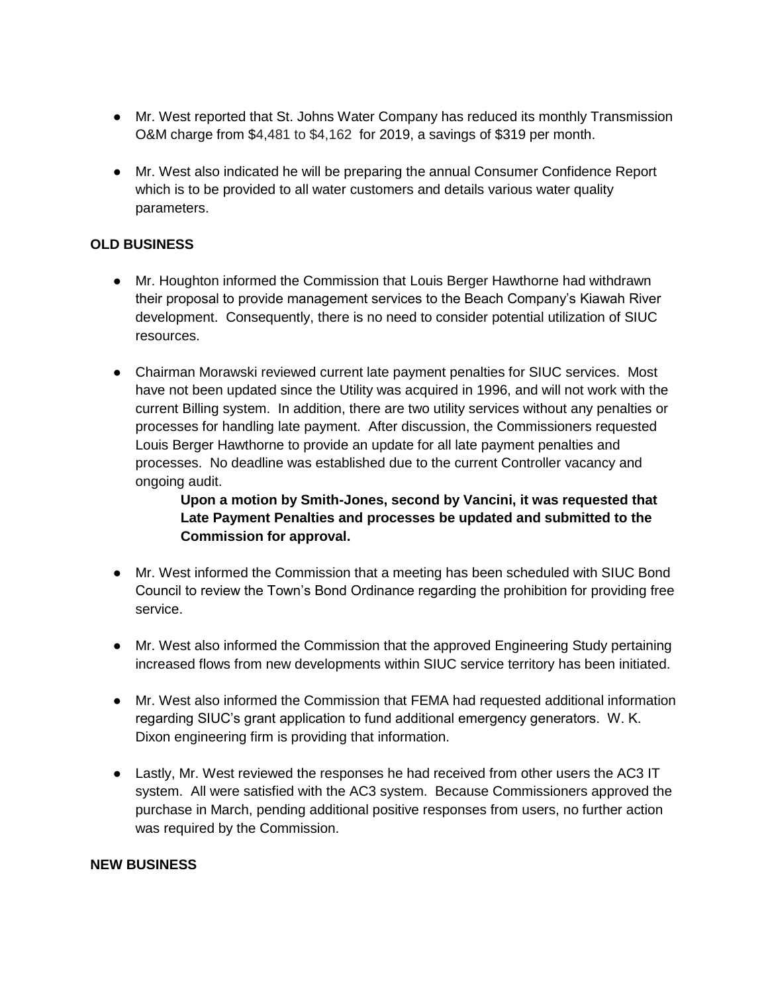- Mr. West reported that St. Johns Water Company has reduced its monthly Transmission O&M charge from \$4,481 to \$4,162 for 2019, a savings of \$319 per month.
- Mr. West also indicated he will be preparing the annual Consumer Confidence Report which is to be provided to all water customers and details various water quality parameters.

# **OLD BUSINESS**

- Mr. Houghton informed the Commission that Louis Berger Hawthorne had withdrawn their proposal to provide management services to the Beach Company's Kiawah River development. Consequently, there is no need to consider potential utilization of SIUC resources.
- Chairman Morawski reviewed current late payment penalties for SIUC services. Most have not been updated since the Utility was acquired in 1996, and will not work with the current Billing system. In addition, there are two utility services without any penalties or processes for handling late payment. After discussion, the Commissioners requested Louis Berger Hawthorne to provide an update for all late payment penalties and processes. No deadline was established due to the current Controller vacancy and ongoing audit.

# **Upon a motion by Smith-Jones, second by Vancini, it was requested that Late Payment Penalties and processes be updated and submitted to the Commission for approval.**

- Mr. West informed the Commission that a meeting has been scheduled with SIUC Bond Council to review the Town's Bond Ordinance regarding the prohibition for providing free service.
- Mr. West also informed the Commission that the approved Engineering Study pertaining increased flows from new developments within SIUC service territory has been initiated.
- Mr. West also informed the Commission that FEMA had requested additional information regarding SIUC's grant application to fund additional emergency generators. W. K. Dixon engineering firm is providing that information.
- Lastly, Mr. West reviewed the responses he had received from other users the AC3 IT system. All were satisfied with the AC3 system. Because Commissioners approved the purchase in March, pending additional positive responses from users, no further action was required by the Commission.

#### **NEW BUSINESS**